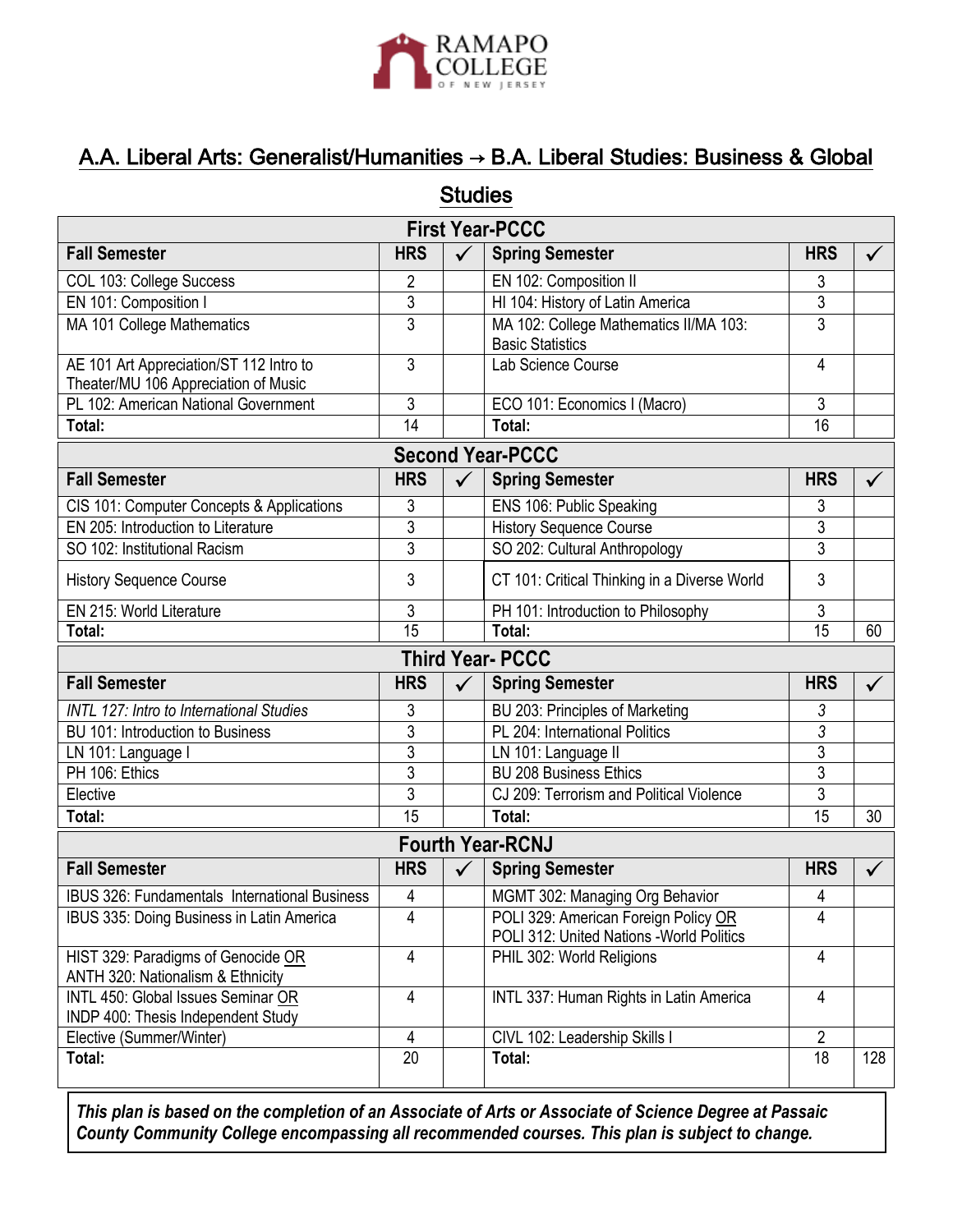

## A.A. Liberal Arts: Generalist/Humanities → B.A. Liberal Studies: Business & Global

| <b>Studies</b>                                                                  |                 |              |                                                                                   |                 |              |  |
|---------------------------------------------------------------------------------|-----------------|--------------|-----------------------------------------------------------------------------------|-----------------|--------------|--|
| <b>First Year-PCCC</b>                                                          |                 |              |                                                                                   |                 |              |  |
| <b>Fall Semester</b>                                                            | <b>HRS</b>      | $\checkmark$ | <b>Spring Semester</b>                                                            | <b>HRS</b>      | $\checkmark$ |  |
| COL 103: College Success                                                        | 2               |              | EN 102: Composition II                                                            | 3               |              |  |
| EN 101: Composition I                                                           | 3               |              | HI 104: History of Latin America                                                  | $\overline{3}$  |              |  |
| MA 101 College Mathematics                                                      | 3               |              | MA 102: College Mathematics II/MA 103:<br><b>Basic Statistics</b>                 | 3               |              |  |
| AE 101 Art Appreciation/ST 112 Intro to<br>Theater/MU 106 Appreciation of Music | 3               |              | Lab Science Course                                                                | 4               |              |  |
| PL 102: American National Government                                            | 3               |              | ECO 101: Economics I (Macro)                                                      | 3               |              |  |
| Total:                                                                          | 14              |              | Total:                                                                            | 16              |              |  |
| <b>Second Year-PCCC</b>                                                         |                 |              |                                                                                   |                 |              |  |
| <b>Fall Semester</b>                                                            | <b>HRS</b>      | $\checkmark$ | <b>Spring Semester</b>                                                            | <b>HRS</b>      | $\checkmark$ |  |
| CIS 101: Computer Concepts & Applications                                       | 3               |              | ENS 106: Public Speaking                                                          | 3               |              |  |
| EN 205: Introduction to Literature                                              | 3               |              | <b>History Sequence Course</b>                                                    | 3               |              |  |
| SO 102: Institutional Racism                                                    | 3               |              | SO 202: Cultural Anthropology                                                     | 3               |              |  |
| <b>History Sequence Course</b>                                                  | 3               |              | CT 101: Critical Thinking in a Diverse World                                      | 3               |              |  |
| EN 215: World Literature                                                        | 3               |              | PH 101: Introduction to Philosophy                                                | 3               |              |  |
| Total:                                                                          | $\overline{15}$ |              | Total:                                                                            | $\overline{15}$ | 60           |  |
| <b>Third Year- PCCC</b>                                                         |                 |              |                                                                                   |                 |              |  |
| <b>Fall Semester</b>                                                            | <b>HRS</b>      | $\checkmark$ | <b>Spring Semester</b>                                                            | <b>HRS</b>      | $\checkmark$ |  |
| <b>INTL 127: Intro to International Studies</b>                                 | 3               |              | BU 203: Principles of Marketing                                                   | 3               |              |  |
| BU 101: Introduction to Business                                                | 3               |              | PL 204: International Politics                                                    | $\overline{3}$  |              |  |
| LN 101: Language I                                                              | 3               |              | LN 101: Language II                                                               | 3               |              |  |
| PH 106: Ethics                                                                  | 3               |              | <b>BU 208 Business Ethics</b>                                                     | 3               |              |  |
| Elective                                                                        | $\overline{3}$  |              | CJ 209: Terrorism and Political Violence                                          | $\overline{3}$  |              |  |
| Total:                                                                          | 15              |              | Total:                                                                            | 15              | 30           |  |
| <b>Fourth Year-RCNJ</b>                                                         |                 |              |                                                                                   |                 |              |  |
| <b>Fall Semester</b>                                                            | <b>HRS</b>      |              | <b>Spring Semester</b>                                                            | <b>HRS</b>      | $\checkmark$ |  |
| <b>IBUS 326: Fundamentals International Business</b>                            | 4               |              | MGMT 302: Managing Org Behavior                                                   | 4               |              |  |
| IBUS 335: Doing Business in Latin America                                       | 4               |              | POLI 329: American Foreign Policy OR<br>POLI 312: United Nations - World Politics | 4               |              |  |
| HIST 329: Paradigms of Genocide OR<br>ANTH 320: Nationalism & Ethnicity         | 4               |              | PHIL 302: World Religions                                                         | 4               |              |  |
| INTL 450: Global Issues Seminar OR<br>INDP 400: Thesis Independent Study        | 4               |              | INTL 337: Human Rights in Latin America                                           | 4               |              |  |
| Elective (Summer/Winter)                                                        | 4               |              | CIVL 102: Leadership Skills I                                                     | 2               |              |  |
| Total:                                                                          | $\overline{20}$ |              | Total:                                                                            | 18              | 128          |  |

*This plan is based on the completion of an Associate of Arts or Associate of Science Degree at Passaic County Community College encompassing all recommended courses. This plan is subject to change.*